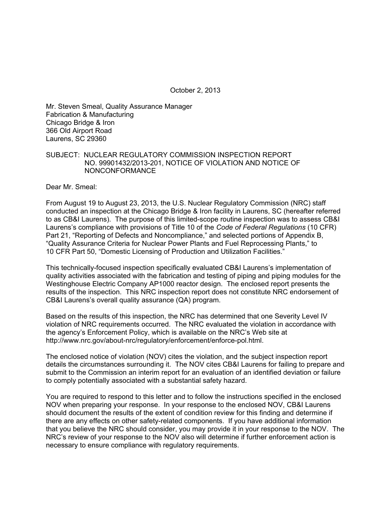October 2, 2013

Mr. Steven Smeal, Quality Assurance Manager Fabrication & Manufacturing Chicago Bridge & Iron 366 Old Airport Road Laurens, SC 29360

#### SUBJECT: NUCLEAR REGULATORY COMMISSION INSPECTION REPORT NO. 99901432/2013-201, NOTICE OF VIOLATION AND NOTICE OF NONCONFORMANCE

Dear Mr. Smeal:

From August 19 to August 23, 2013, the U.S. Nuclear Regulatory Commission (NRC) staff conducted an inspection at the Chicago Bridge & Iron facility in Laurens, SC (hereafter referred to as CB&I Laurens). The purpose of this limited-scope routine inspection was to assess CB&I Laurens's compliance with provisions of Title 10 of the *Code of Federal Regulations* (10 CFR) Part 21, "Reporting of Defects and Noncompliance," and selected portions of Appendix B, "Quality Assurance Criteria for Nuclear Power Plants and Fuel Reprocessing Plants," to 10 CFR Part 50, "Domestic Licensing of Production and Utilization Facilities."

This technically-focused inspection specifically evaluated CB&I Laurens's implementation of quality activities associated with the fabrication and testing of piping and piping modules for the Westinghouse Electric Company AP1000 reactor design. The enclosed report presents the results of the inspection. This NRC inspection report does not constitute NRC endorsement of CB&I Laurens's overall quality assurance (QA) program.

Based on the results of this inspection, the NRC has determined that one Severity Level IV violation of NRC requirements occurred. The NRC evaluated the violation in accordance with the agency's Enforcement Policy, which is available on the NRC's Web site at http://www.nrc.gov/about-nrc/regulatory/enforcement/enforce-pol.html.

The enclosed notice of violation (NOV) cites the violation, and the subject inspection report details the circumstances surrounding it. The NOV cites CB&I Laurens for failing to prepare and submit to the Commission an interim report for an evaluation of an identified deviation or failure to comply potentially associated with a substantial safety hazard.

You are required to respond to this letter and to follow the instructions specified in the enclosed NOV when preparing your response. In your response to the enclosed NOV, CB&I Laurens should document the results of the extent of condition review for this finding and determine if there are any effects on other safety-related components. If you have additional information that you believe the NRC should consider, you may provide it in your response to the NOV. The NRC's review of your response to the NOV also will determine if further enforcement action is necessary to ensure compliance with regulatory requirements.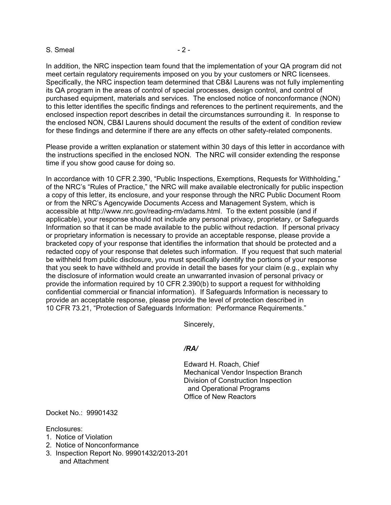#### S. Smeal - 2 -

In addition, the NRC inspection team found that the implementation of your QA program did not meet certain regulatory requirements imposed on you by your customers or NRC licensees. Specifically, the NRC inspection team determined that CB&I Laurens was not fully implementing its QA program in the areas of control of special processes, design control, and control of purchased equipment, materials and services. The enclosed notice of nonconformance (NON) to this letter identifies the specific findings and references to the pertinent requirements, and the enclosed inspection report describes in detail the circumstances surrounding it. In response to the enclosed NON, CB&I Laurens should document the results of the extent of condition review for these findings and determine if there are any effects on other safety-related components.

Please provide a written explanation or statement within 30 days of this letter in accordance with the instructions specified in the enclosed NON. The NRC will consider extending the response time if you show good cause for doing so.

In accordance with 10 CFR 2.390, "Public Inspections, Exemptions, Requests for Withholding," of the NRC's "Rules of Practice," the NRC will make available electronically for public inspection a copy of this letter, its enclosure, and your response through the NRC Public Document Room or from the NRC's Agencywide Documents Access and Management System, which is accessible at http://www.nrc.gov/reading-rm/adams.html. To the extent possible (and if applicable), your response should not include any personal privacy, proprietary, or Safeguards Information so that it can be made available to the public without redaction. If personal privacy or proprietary information is necessary to provide an acceptable response, please provide a bracketed copy of your response that identifies the information that should be protected and a redacted copy of your response that deletes such information. If you request that such material be withheld from public disclosure, you must specifically identify the portions of your response that you seek to have withheld and provide in detail the bases for your claim (e.g., explain why the disclosure of information would create an unwarranted invasion of personal privacy or provide the information required by 10 CFR 2.390(b) to support a request for withholding confidential commercial or financial information). If Safeguards Information is necessary to provide an acceptable response, please provide the level of protection described in 10 CFR 73.21, "Protection of Safeguards Information: Performance Requirements."

Sincerely,

#### */RA/*

Edward H. Roach, Chief Mechanical Vendor Inspection Branch Division of Construction Inspection and Operational Programs Office of New Reactors

Docket No.: 99901432

Enclosures:

- 1. Notice of Violation
- 2. Notice of Nonconformance
- 3. Inspection Report No. 99901432/2013-201 and Attachment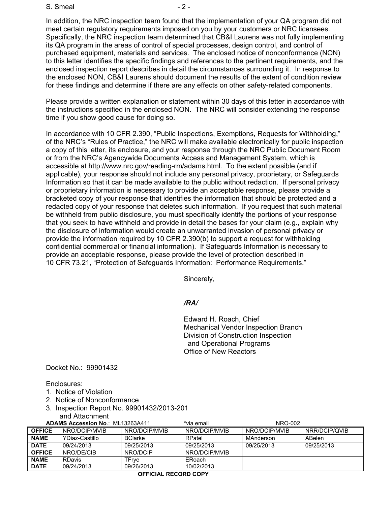S. Smeal - 2 -

In addition, the NRC inspection team found that the implementation of your QA program did not meet certain regulatory requirements imposed on you by your customers or NRC licensees. Specifically, the NRC inspection team determined that CB&I Laurens was not fully implementing its QA program in the areas of control of special processes, design control, and control of purchased equipment, materials and services. The enclosed notice of nonconformance (NON) to this letter identifies the specific findings and references to the pertinent requirements, and the enclosed inspection report describes in detail the circumstances surrounding it. In response to the enclosed NON, CB&I Laurens should document the results of the extent of condition review for these findings and determine if there are any effects on other safety-related components.

Please provide a written explanation or statement within 30 days of this letter in accordance with the instructions specified in the enclosed NON. The NRC will consider extending the response time if you show good cause for doing so.

In accordance with 10 CFR 2.390, "Public Inspections, Exemptions, Requests for Withholding," of the NRC's "Rules of Practice," the NRC will make available electronically for public inspection a copy of this letter, its enclosure, and your response through the NRC Public Document Room or from the NRC's Agencywide Documents Access and Management System, which is accessible at http://www.nrc.gov/reading-rm/adams.html. To the extent possible (and if applicable), your response should not include any personal privacy, proprietary, or Safeguards Information so that it can be made available to the public without redaction. If personal privacy or proprietary information is necessary to provide an acceptable response, please provide a bracketed copy of your response that identifies the information that should be protected and a redacted copy of your response that deletes such information. If you request that such material be withheld from public disclosure, you must specifically identify the portions of your response that you seek to have withheld and provide in detail the bases for your claim (e.g., explain why the disclosure of information would create an unwarranted invasion of personal privacy or provide the information required by 10 CFR 2.390(b) to support a request for withholding confidential commercial or financial information). If Safeguards Information is necessary to provide an acceptable response, please provide the level of protection described in 10 CFR 73.21, "Protection of Safeguards Information: Performance Requirements."

Sincerely,

## */RA/*

Edward H. Roach, Chief Mechanical Vendor Inspection Branch Division of Construction Inspection and Operational Programs Office of New Reactors

Docket No.: 99901432

Enclosures:

- 1. Notice of Violation
- 2. Notice of Nonconformance
- 3. Inspection Report No. 99901432/2013-201 and Attachment

| <b>ADAMS Accession No.: ML13263A411</b> |                | *via email     | NRO-002       |               |               |
|-----------------------------------------|----------------|----------------|---------------|---------------|---------------|
| <b>OFFICE</b>                           | NRO/DCIP/MVIB  | NRO/DCIP/MVIB  | NRO/DCIP/MVIB | NRO/DCIP/MVIB | NRR/DCIP/QVIB |
| <b>NAME</b>                             | YDiaz-Castillo | <b>BClarke</b> | RPatel        | MAnderson     | ABelen        |
| <b>DATE</b>                             | 09/24/2013     | 09/25/2013     | 09/25/2013    | 09/25/2013    | 09/25/2013    |
| <b>OFFICE</b>                           | NRO/DE/CIB     | NRO/DCIP       | NRO/DCIP/MVIB |               |               |
| <b>NAME</b>                             | <b>RDavis</b>  | TFrve          | ERoach        |               |               |
| <b>DATE</b>                             | 09/24/2013     | 09/26/2013     | 10/02/2013    |               |               |

**OFFICIAL RECORD COPY**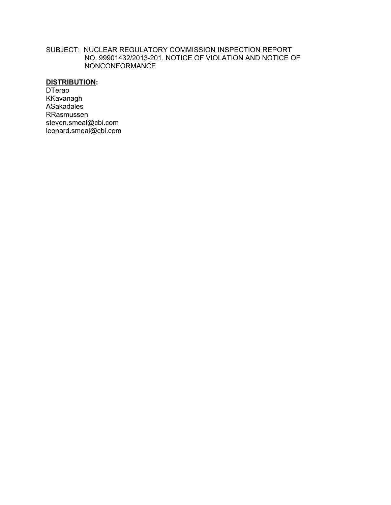#### SUBJECT: NUCLEAR REGULATORY COMMISSION INSPECTION REPORT NO. 99901432/2013-201, NOTICE OF VIOLATION AND NOTICE OF NONCONFORMANCE

# **DISTRIBUTION:**

**DTerao** KKavanagh ASakadales RRasmussen steven.smeal@cbi.com leonard.smeal@cbi.com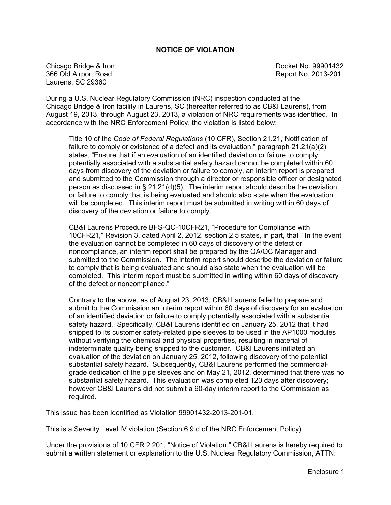#### **NOTICE OF VIOLATION**

Chicago Bridge & Iron **Docket No. 99901432** 366 Old Airport Road Report No. 2013-201 Laurens, SC 29360

During a U.S. Nuclear Regulatory Commission (NRC) inspection conducted at the Chicago Bridge & Iron facility in Laurens, SC (hereafter referred to as CB&I Laurens), from August 19, 2013, through August 23, 2013, a violation of NRC requirements was identified. In accordance with the NRC Enforcement Policy, the violation is listed below:

Title 10 of the *Code of Federal Regulations* (10 CFR), Section 21.21,"Notification of failure to comply or existence of a defect and its evaluation," paragraph 21.21(a)(2) states, "Ensure that if an evaluation of an identified deviation or failure to comply potentially associated with a substantial safety hazard cannot be completed within 60 days from discovery of the deviation or failure to comply, an interim report is prepared and submitted to the Commission through a director or responsible officer or designated person as discussed in  $\S$  21.21(d)(5). The interim report should describe the deviation or failure to comply that is being evaluated and should also state when the evaluation will be completed. This interim report must be submitted in writing within 60 days of discovery of the deviation or failure to comply."

CB&I Laurens Procedure BFS-QC-10CFR21, "Procedure for Compliance with 10CFR21," Revision 3, dated April 2, 2012, section 2.5 states, in part, that "In the event the evaluation cannot be completed in 60 days of discovery of the defect or noncompliance, an interim report shall be prepared by the QA/QC Manager and submitted to the Commission. The interim report should describe the deviation or failure to comply that is being evaluated and should also state when the evaluation will be completed. This interim report must be submitted in writing within 60 days of discovery of the defect or noncompliance."

Contrary to the above, as of August 23, 2013, CB&I Laurens failed to prepare and submit to the Commission an interim report within 60 days of discovery for an evaluation of an identified deviation or failure to comply potentially associated with a substantial safety hazard. Specifically, CB&I Laurens identified on January 25, 2012 that it had shipped to its customer safety-related pipe sleeves to be used in the AP1000 modules without verifying the chemical and physical properties, resulting in material of indeterminate quality being shipped to the customer. CB&I Laurens initiated an evaluation of the deviation on January 25, 2012, following discovery of the potential substantial safety hazard. Subsequently, CB&I Laurens performed the commercialgrade dedication of the pipe sleeves and on May 21, 2012, determined that there was no substantial safety hazard. This evaluation was completed 120 days after discovery; however CB&I Laurens did not submit a 60-day interim report to the Commission as required.

This issue has been identified as Violation 99901432-2013-201-01.

This is a Severity Level IV violation (Section 6.9.d of the NRC Enforcement Policy).

Under the provisions of 10 CFR 2.201, "Notice of Violation," CB&I Laurens is hereby required to submit a written statement or explanation to the U.S. Nuclear Regulatory Commission, ATTN: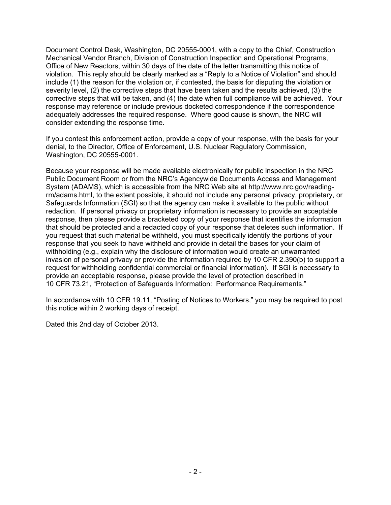Document Control Desk, Washington, DC 20555-0001, with a copy to the Chief, Construction Mechanical Vendor Branch, Division of Construction Inspection and Operational Programs, Office of New Reactors, within 30 days of the date of the letter transmitting this notice of violation. This reply should be clearly marked as a "Reply to a Notice of Violation" and should include (1) the reason for the violation or, if contested, the basis for disputing the violation or severity level, (2) the corrective steps that have been taken and the results achieved, (3) the corrective steps that will be taken, and (4) the date when full compliance will be achieved. Your response may reference or include previous docketed correspondence if the correspondence adequately addresses the required response. Where good cause is shown, the NRC will consider extending the response time.

If you contest this enforcement action, provide a copy of your response, with the basis for your denial, to the Director, Office of Enforcement, U.S. Nuclear Regulatory Commission, Washington, DC 20555-0001.

Because your response will be made available electronically for public inspection in the NRC Public Document Room or from the NRC's Agencywide Documents Access and Management System (ADAMS), which is accessible from the NRC Web site at http://www.nrc.gov/readingrm/adams.html, to the extent possible, it should not include any personal privacy, proprietary, or Safeguards Information (SGI) so that the agency can make it available to the public without redaction. If personal privacy or proprietary information is necessary to provide an acceptable response, then please provide a bracketed copy of your response that identifies the information that should be protected and a redacted copy of your response that deletes such information. If you request that such material be withheld, you must specifically identify the portions of your response that you seek to have withheld and provide in detail the bases for your claim of withholding (e.g., explain why the disclosure of information would create an unwarranted invasion of personal privacy or provide the information required by 10 CFR 2.390(b) to support a request for withholding confidential commercial or financial information). If SGI is necessary to provide an acceptable response, please provide the level of protection described in 10 CFR 73.21, "Protection of Safeguards Information: Performance Requirements."

In accordance with 10 CFR 19.11, "Posting of Notices to Workers," you may be required to post this notice within 2 working days of receipt.

Dated this 2nd day of October 2013.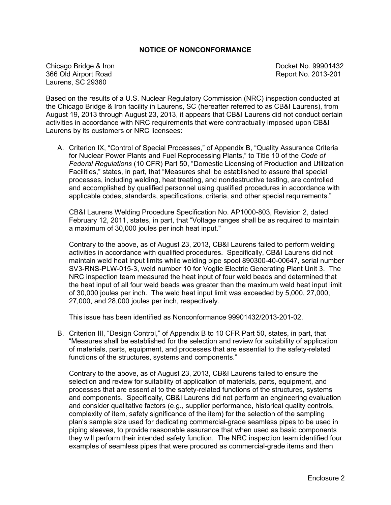#### **NOTICE OF NONCONFORMANCE**

Chicago Bridge & Iron **Docket No. 99901432** 366 Old Airport Road Report No. 2013-201 Laurens, SC 29360

Based on the results of a U.S. Nuclear Regulatory Commission (NRC) inspection conducted at the Chicago Bridge & Iron facility in Laurens, SC (hereafter referred to as CB&I Laurens), from August 19, 2013 through August 23, 2013, it appears that CB&I Laurens did not conduct certain activities in accordance with NRC requirements that were contractually imposed upon CB&I Laurens by its customers or NRC licensees:

A. Criterion IX, "Control of Special Processes," of Appendix B, "Quality Assurance Criteria for Nuclear Power Plants and Fuel Reprocessing Plants," to Title 10 of the *Code of Federal Regulations* (10 CFR) Part 50, "Domestic Licensing of Production and Utilization Facilities," states, in part, that "Measures shall be established to assure that special processes, including welding, heat treating, and nondestructive testing, are controlled and accomplished by qualified personnel using qualified procedures in accordance with applicable codes, standards, specifications, criteria, and other special requirements."

CB&I Laurens Welding Procedure Specification No. AP1000-803, Revision 2, dated February 12, 2011, states, in part, that "Voltage ranges shall be as required to maintain a maximum of 30,000 joules per inch heat input."

Contrary to the above, as of August 23, 2013, CB&I Laurens failed to perform welding activities in accordance with qualified procedures. Specifically, CB&I Laurens did not maintain weld heat input limits while welding pipe spool 890300-40-00647, serial number SV3-RNS-PLW-015-3, weld number 10 for Vogtle Electric Generating Plant Unit 3. The NRC inspection team measured the heat input of four weld beads and determined that the heat input of all four weld beads was greater than the maximum weld heat input limit of 30,000 joules per inch. The weld heat input limit was exceeded by 5,000, 27,000, 27,000, and 28,000 joules per inch, respectively.

This issue has been identified as Nonconformance 99901432/2013-201-02.

B. Criterion III, "Design Control," of Appendix B to 10 CFR Part 50, states, in part, that "Measures shall be established for the selection and review for suitability of application of materials, parts, equipment, and processes that are essential to the safety-related functions of the structures, systems and components."

Contrary to the above, as of August 23, 2013, CB&I Laurens failed to ensure the selection and review for suitability of application of materials, parts, equipment, and processes that are essential to the safety-related functions of the structures, systems and components. Specifically, CB&I Laurens did not perform an engineering evaluation and consider qualitative factors (e.g., supplier performance, historical quality controls, complexity of item, safety significance of the item) for the selection of the sampling plan's sample size used for dedicating commercial-grade seamless pipes to be used in piping sleeves, to provide reasonable assurance that when used as basic components they will perform their intended safety function. The NRC inspection team identified four examples of seamless pipes that were procured as commercial-grade items and then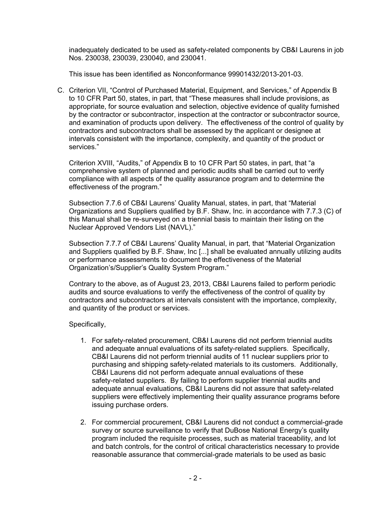inadequately dedicated to be used as safety-related components by CB&I Laurens in job Nos. 230038, 230039, 230040, and 230041.

This issue has been identified as Nonconformance 99901432/2013-201-03.

C. Criterion VII, "Control of Purchased Material, Equipment, and Services," of Appendix B to 10 CFR Part 50, states, in part, that "These measures shall include provisions, as appropriate, for source evaluation and selection, objective evidence of quality furnished by the contractor or subcontractor, inspection at the contractor or subcontractor source, and examination of products upon delivery. The effectiveness of the control of quality by contractors and subcontractors shall be assessed by the applicant or designee at intervals consistent with the importance, complexity, and quantity of the product or services."

Criterion XVIII, "Audits," of Appendix B to 10 CFR Part 50 states, in part, that "a comprehensive system of planned and periodic audits shall be carried out to verify compliance with all aspects of the quality assurance program and to determine the effectiveness of the program."

Subsection 7.7.6 of CB&I Laurens' Quality Manual, states, in part, that "Material Organizations and Suppliers qualified by B.F. Shaw, Inc. in accordance with 7.7.3 (C) of this Manual shall be re-surveyed on a triennial basis to maintain their listing on the Nuclear Approved Vendors List (NAVL)."

Subsection 7.7.7 of CB&I Laurens' Quality Manual, in part, that "Material Organization and Suppliers qualified by B.F. Shaw, Inc [...] shall be evaluated annually utilizing audits or performance assessments to document the effectiveness of the Material Organization's/Supplier's Quality System Program."

Contrary to the above, as of August 23, 2013, CB&I Laurens failed to perform periodic audits and source evaluations to verify the effectiveness of the control of quality by contractors and subcontractors at intervals consistent with the importance, complexity, and quantity of the product or services.

# Specifically,

- 1. For safety-related procurement, CB&I Laurens did not perform triennial audits and adequate annual evaluations of its safety-related suppliers. Specifically, CB&I Laurens did not perform triennial audits of 11 nuclear suppliers prior to purchasing and shipping safety-related materials to its customers. Additionally, CB&I Laurens did not perform adequate annual evaluations of these safety-related suppliers. By failing to perform supplier triennial audits and adequate annual evaluations, CB&I Laurens did not assure that safety-related suppliers were effectively implementing their quality assurance programs before issuing purchase orders.
- 2. For commercial procurement, CB&I Laurens did not conduct a commercial-grade survey or source surveillance to verify that DuBose National Energy's quality program included the requisite processes, such as material traceability, and lot and batch controls, for the control of critical characteristics necessary to provide reasonable assurance that commercial-grade materials to be used as basic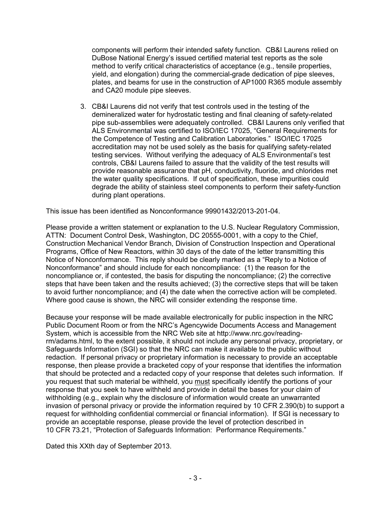components will perform their intended safety function. CB&I Laurens relied on DuBose National Energy's issued certified material test reports as the sole method to verify critical characteristics of acceptance (e.g., tensile properties, yield, and elongation) during the commercial-grade dedication of pipe sleeves, plates, and beams for use in the construction of AP1000 R365 module assembly and CA20 module pipe sleeves.

3. CB&I Laurens did not verify that test controls used in the testing of the demineralized water for hydrostatic testing and final cleaning of safety-related pipe sub-assemblies were adequately controlled. CB&I Laurens only verified that ALS Environmental was certified to ISO/IEC 17025, "General Requirements for the Competence of Testing and Calibration Laboratories." ISO/IEC 17025 accreditation may not be used solely as the basis for qualifying safety-related testing services. Without verifying the adequacy of ALS Environmental's test controls, CB&I Laurens failed to assure that the validity of the test results will provide reasonable assurance that pH, conductivity, fluoride, and chlorides met the water quality specifications. If out of specification, these impurities could degrade the ability of stainless steel components to perform their safety-function during plant operations.

This issue has been identified as Nonconformance 99901432/2013-201-04.

Please provide a written statement or explanation to the U.S. Nuclear Regulatory Commission, ATTN: Document Control Desk, Washington, DC 20555-0001, with a copy to the Chief, Construction Mechanical Vendor Branch, Division of Construction Inspection and Operational Programs, Office of New Reactors, within 30 days of the date of the letter transmitting this Notice of Nonconformance. This reply should be clearly marked as a "Reply to a Notice of Nonconformance" and should include for each noncompliance: (1) the reason for the noncompliance or, if contested, the basis for disputing the noncompliance; (2) the corrective steps that have been taken and the results achieved; (3) the corrective steps that will be taken to avoid further noncompliance; and (4) the date when the corrective action will be completed. Where good cause is shown, the NRC will consider extending the response time.

Because your response will be made available electronically for public inspection in the NRC Public Document Room or from the NRC's Agencywide Documents Access and Management System, which is accessible from the NRC Web site at http://www.nrc.gov/readingrm/adams.html, to the extent possible, it should not include any personal privacy, proprietary, or Safeguards Information (SGI) so that the NRC can make it available to the public without redaction. If personal privacy or proprietary information is necessary to provide an acceptable response, then please provide a bracketed copy of your response that identifies the information that should be protected and a redacted copy of your response that deletes such information. If you request that such material be withheld, you must specifically identify the portions of your response that you seek to have withheld and provide in detail the bases for your claim of withholding (e.g., explain why the disclosure of information would create an unwarranted invasion of personal privacy or provide the information required by 10 CFR 2.390(b) to support a request for withholding confidential commercial or financial information). If SGI is necessary to provide an acceptable response, please provide the level of protection described in 10 CFR 73.21, "Protection of Safeguards Information: Performance Requirements."

Dated this XXth day of September 2013.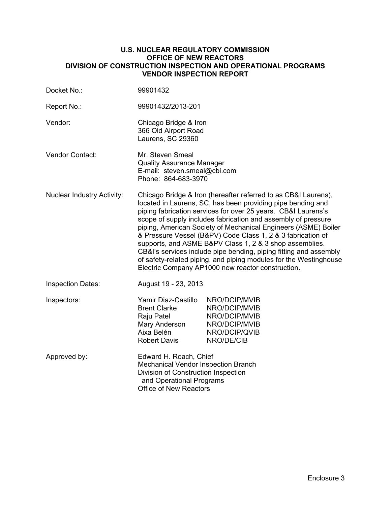#### **U.S. NUCLEAR REGULATORY COMMISSION OFFICE OF NEW REACTORS DIVISION OF CONSTRUCTION INSPECTION AND OPERATIONAL PROGRAMS VENDOR INSPECTION REPORT**

| Docket No.:                       | 99901432                                                                                                                                                                                                                                                                                                                                                                                                                                                                                                                                                                                                                                                   |                                                                                                 |  |  |
|-----------------------------------|------------------------------------------------------------------------------------------------------------------------------------------------------------------------------------------------------------------------------------------------------------------------------------------------------------------------------------------------------------------------------------------------------------------------------------------------------------------------------------------------------------------------------------------------------------------------------------------------------------------------------------------------------------|-------------------------------------------------------------------------------------------------|--|--|
| Report No.:                       | 99901432/2013-201                                                                                                                                                                                                                                                                                                                                                                                                                                                                                                                                                                                                                                          |                                                                                                 |  |  |
| Vendor:                           | Chicago Bridge & Iron<br>366 Old Airport Road<br>Laurens, SC 29360                                                                                                                                                                                                                                                                                                                                                                                                                                                                                                                                                                                         |                                                                                                 |  |  |
| <b>Vendor Contact:</b>            | Mr. Steven Smeal<br><b>Quality Assurance Manager</b><br>E-mail: steven.smeal@cbi.com<br>Phone: 864-683-3970                                                                                                                                                                                                                                                                                                                                                                                                                                                                                                                                                |                                                                                                 |  |  |
| <b>Nuclear Industry Activity:</b> | Chicago Bridge & Iron (hereafter referred to as CB&I Laurens),<br>located in Laurens, SC, has been providing pipe bending and<br>piping fabrication services for over 25 years. CB&I Laurens's<br>scope of supply includes fabrication and assembly of pressure<br>piping, American Society of Mechanical Engineers (ASME) Boiler<br>& Pressure Vessel (B&PV) Code Class 1, 2 & 3 fabrication of<br>supports, and ASME B&PV Class 1, 2 & 3 shop assemblies.<br>CB&I's services include pipe bending, piping fitting and assembly<br>of safety-related piping, and piping modules for the Westinghouse<br>Electric Company AP1000 new reactor construction. |                                                                                                 |  |  |
| <b>Inspection Dates:</b>          | August 19 - 23, 2013                                                                                                                                                                                                                                                                                                                                                                                                                                                                                                                                                                                                                                       |                                                                                                 |  |  |
| Inspectors:                       | Yamir Diaz-Castillo<br><b>Brent Clarke</b><br>Raju Patel<br>Mary Anderson<br>Aixa Belén<br>Robert Davis                                                                                                                                                                                                                                                                                                                                                                                                                                                                                                                                                    | NRO/DCIP/MVIB<br>NRO/DCIP/MVIB<br>NRO/DCIP/MVIB<br>NRO/DCIP/MVIB<br>NRO/DCIP/QVIB<br>NRO/DE/CIB |  |  |
| Approved by:                      | Edward H. Roach, Chief<br>Mechanical Vendor Inspection Branch<br>Division of Construction Inspection<br>and Operational Programs<br><b>Office of New Reactors</b>                                                                                                                                                                                                                                                                                                                                                                                                                                                                                          |                                                                                                 |  |  |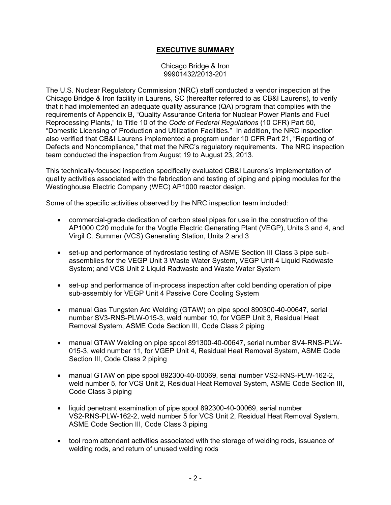# **EXECUTIVE SUMMARY**

#### Chicago Bridge & Iron 99901432/2013-201

The U.S. Nuclear Regulatory Commission (NRC) staff conducted a vendor inspection at the Chicago Bridge & Iron facility in Laurens, SC (hereafter referred to as CB&I Laurens), to verify that it had implemented an adequate quality assurance (QA) program that complies with the requirements of Appendix B, "Quality Assurance Criteria for Nuclear Power Plants and Fuel Reprocessing Plants," to Title 10 of the *Code of Federal Regulations* (10 CFR) Part 50, "Domestic Licensing of Production and Utilization Facilities." In addition, the NRC inspection also verified that CB&I Laurens implemented a program under 10 CFR Part 21, "Reporting of Defects and Noncompliance," that met the NRC's regulatory requirements. The NRC inspection team conducted the inspection from August 19 to August 23, 2013.

This technically-focused inspection specifically evaluated CB&I Laurens's implementation of quality activities associated with the fabrication and testing of piping and piping modules for the Westinghouse Electric Company (WEC) AP1000 reactor design.

Some of the specific activities observed by the NRC inspection team included:

- commercial-grade dedication of carbon steel pipes for use in the construction of the AP1000 C20 module for the Vogtle Electric Generating Plant (VEGP), Units 3 and 4, and Virgil C. Summer (VCS) Generating Station, Units 2 and 3
- set-up and performance of hydrostatic testing of ASME Section III Class 3 pipe subassemblies for the VEGP Unit 3 Waste Water System, VEGP Unit 4 Liquid Radwaste System; and VCS Unit 2 Liquid Radwaste and Waste Water System
- set-up and performance of in-process inspection after cold bending operation of pipe sub-assembly for VEGP Unit 4 Passive Core Cooling System
- manual Gas Tungsten Arc Welding (GTAW) on pipe spool 890300-40-00647, serial number SV3-RNS-PLW-015-3, weld number 10, for VGEP Unit 3, Residual Heat Removal System, ASME Code Section III, Code Class 2 piping
- manual GTAW Welding on pipe spool 891300-40-00647, serial number SV4-RNS-PLW-015-3, weld number 11, for VGEP Unit 4, Residual Heat Removal System, ASME Code Section III, Code Class 2 piping
- manual GTAW on pipe spool 892300-40-00069, serial number VS2-RNS-PLW-162-2, weld number 5, for VCS Unit 2, Residual Heat Removal System, ASME Code Section III, Code Class 3 piping
- liquid penetrant examination of pipe spool 892300-40-00069, serial number VS2-RNS-PLW-162-2, weld number 5 for VCS Unit 2, Residual Heat Removal System, ASME Code Section III, Code Class 3 piping
- tool room attendant activities associated with the storage of welding rods, issuance of welding rods, and return of unused welding rods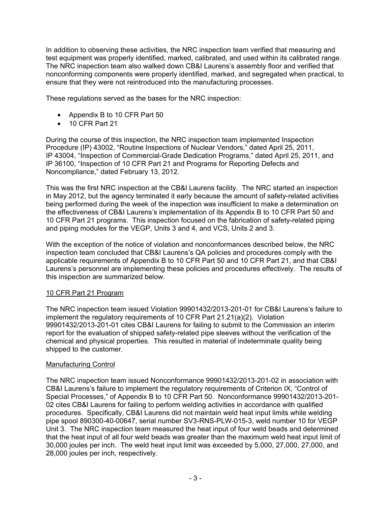In addition to observing these activities, the NRC inspection team verified that measuring and test equipment was properly identified, marked, calibrated, and used within its calibrated range. The NRC inspection team also walked down CB&I Laurens's assembly floor and verified that nonconforming components were properly identified, marked, and segregated when practical, to ensure that they were not reintroduced into the manufacturing processes.

These regulations served as the bases for the NRC inspection:

- Appendix B to 10 CFR Part 50
- 10 CFR Part 21

During the course of this inspection, the NRC inspection team implemented Inspection Procedure (IP) 43002, "Routine Inspections of Nuclear Vendors," dated April 25, 2011, IP 43004, "Inspection of Commercial-Grade Dedication Programs," dated April 25, 2011, and IP 36100, "Inspection of 10 CFR Part 21 and Programs for Reporting Defects and Noncompliance," dated February 13, 2012.

This was the first NRC inspection at the CB&I Laurens facility. The NRC started an inspection in May 2012, but the agency terminated it early because the amount of safety-related activities being performed during the week of the inspection was insufficient to make a determination on the effectiveness of CB&I Laurens's implementation of its Appendix B to 10 CFR Part 50 and 10 CFR Part 21 programs. This inspection focused on the fabrication of safety-related piping and piping modules for the VEGP, Units 3 and 4, and VCS, Units 2 and 3.

With the exception of the notice of violation and nonconformances described below, the NRC inspection team concluded that CB&I Laurens's QA policies and procedures comply with the applicable requirements of Appendix B to 10 CFR Part 50 and 10 CFR Part 21, and that CB&I Laurens's personnel are implementing these policies and procedures effectively. The results of this inspection are summarized below.

# 10 CFR Part 21 Program

The NRC inspection team issued Violation 99901432/2013-201-01 for CB&I Laurens's failure to implement the regulatory requirements of 10 CFR Part 21.21(a)(2). Violation 99901432/2013-201-01 cites CB&I Laurens for failing to submit to the Commission an interim report for the evaluation of shipped safety-related pipe sleeves without the verification of the chemical and physical properties. This resulted in material of indeterminate quality being shipped to the customer.

# Manufacturing Control

The NRC inspection team issued Nonconformance 99901432/2013-201-02 in association with CB&I Laurens's failure to implement the regulatory requirements of Criterion IX, "Control of Special Processes," of Appendix B to 10 CFR Part 50. Nonconformance 99901432/2013-201- 02 cites CB&I Laurens for failing to perform welding activities in accordance with qualified procedures. Specifically, CB&I Laurens did not maintain weld heat input limits while welding pipe spool 890300-40-00647, serial number SV3-RNS-PLW-015-3, weld number 10 for VEGP Unit 3. The NRC inspection team measured the heat input of four weld beads and determined that the heat input of all four weld beads was greater than the maximum weld heat input limit of 30,000 joules per inch. The weld heat input limit was exceeded by 5,000, 27,000, 27,000, and 28,000 joules per inch, respectively.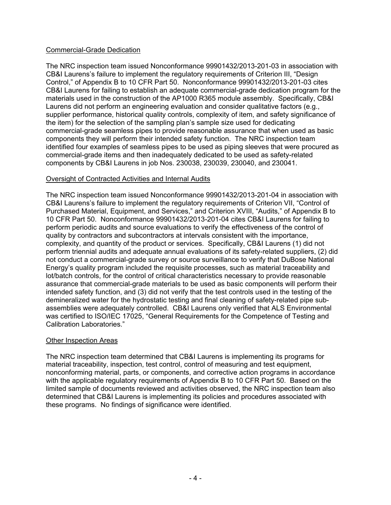# Commercial-Grade Dedication

The NRC inspection team issued Nonconformance 99901432/2013-201-03 in association with CB&I Laurens's failure to implement the regulatory requirements of Criterion III, "Design Control," of Appendix B to 10 CFR Part 50. Nonconformance 99901432/2013-201-03 cites CB&I Laurens for failing to establish an adequate commercial-grade dedication program for the materials used in the construction of the AP1000 R365 module assembly. Specifically, CB&I Laurens did not perform an engineering evaluation and consider qualitative factors (e.g., supplier performance, historical quality controls, complexity of item, and safety significance of the item) for the selection of the sampling plan's sample size used for dedicating commercial-grade seamless pipes to provide reasonable assurance that when used as basic components they will perform their intended safety function. The NRC inspection team identified four examples of seamless pipes to be used as piping sleeves that were procured as commercial-grade items and then inadequately dedicated to be used as safety-related components by CB&I Laurens in job Nos. 230038, 230039, 230040, and 230041.

## Oversight of Contracted Activities and Internal Audits

The NRC inspection team issued Nonconformance 99901432/2013-201-04 in association with CB&I Laurens's failure to implement the regulatory requirements of Criterion VII, "Control of Purchased Material, Equipment, and Services," and Criterion XVIII, "Audits," of Appendix B to 10 CFR Part 50. Nonconformance 99901432/2013-201-04 cites CB&I Laurens for failing to perform periodic audits and source evaluations to verify the effectiveness of the control of quality by contractors and subcontractors at intervals consistent with the importance, complexity, and quantity of the product or services. Specifically, CB&I Laurens (1) did not perform triennial audits and adequate annual evaluations of its safety-related suppliers, (2) did not conduct a commercial-grade survey or source surveillance to verify that DuBose National Energy's quality program included the requisite processes, such as material traceability and lot/batch controls, for the control of critical characteristics necessary to provide reasonable assurance that commercial-grade materials to be used as basic components will perform their intended safety function, and (3) did not verify that the test controls used in the testing of the demineralized water for the hydrostatic testing and final cleaning of safety-related pipe subassemblies were adequately controlled. CB&I Laurens only verified that ALS Environmental was certified to ISO/IEC 17025, "General Requirements for the Competence of Testing and Calibration Laboratories."

## Other Inspection Areas

The NRC inspection team determined that CB&I Laurens is implementing its programs for material traceability, inspection, test control, control of measuring and test equipment, nonconforming material, parts, or components, and corrective action programs in accordance with the applicable regulatory requirements of Appendix B to 10 CFR Part 50. Based on the limited sample of documents reviewed and activities observed, the NRC inspection team also determined that CB&I Laurens is implementing its policies and procedures associated with these programs. No findings of significance were identified.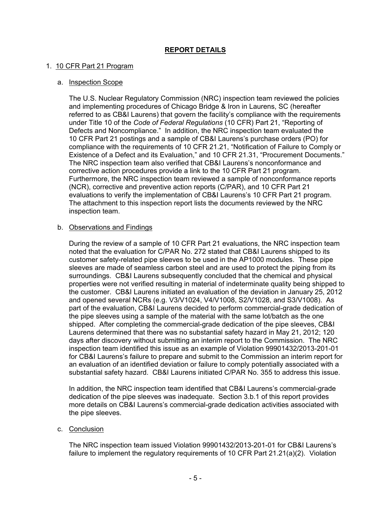# **REPORT DETAILS**

#### 1. 10 CFR Part 21 Program

#### a. Inspection Scope

The U.S. Nuclear Regulatory Commission (NRC) inspection team reviewed the policies and implementing procedures of Chicago Bridge & Iron in Laurens, SC (hereafter referred to as CB&I Laurens) that govern the facility's compliance with the requirements under Title 10 of the *Code of Federal Regulations* (10 CFR) Part 21, "Reporting of Defects and Noncompliance." In addition, the NRC inspection team evaluated the 10 CFR Part 21 postings and a sample of CB&I Laurens's purchase orders (PO) for compliance with the requirements of 10 CFR 21.21, "Notification of Failure to Comply or Existence of a Defect and its Evaluation," and 10 CFR 21.31, "Procurement Documents." The NRC inspection team also verified that CB&I Laurens's nonconformance and corrective action procedures provide a link to the 10 CFR Part 21 program. Furthermore, the NRC inspection team reviewed a sample of nonconformance reports (NCR), corrective and preventive action reports (C/PAR), and 10 CFR Part 21 evaluations to verify the implementation of CB&I Laurens's 10 CFR Part 21 program. The attachment to this inspection report lists the documents reviewed by the NRC inspection team.

#### b. Observations and Findings

During the review of a sample of 10 CFR Part 21 evaluations, the NRC inspection team noted that the evaluation for C/PAR No. 272 stated that CB&I Laurens shipped to its customer safety-related pipe sleeves to be used in the AP1000 modules. These pipe sleeves are made of seamless carbon steel and are used to protect the piping from its surroundings. CB&I Laurens subsequently concluded that the chemical and physical properties were not verified resulting in material of indeterminate quality being shipped to the customer. CB&I Laurens initiated an evaluation of the deviation in January 25, 2012 and opened several NCRs (e.g. V3/V1024, V4/V1008, S2/V1028, and S3/V1008). As part of the evaluation, CB&I Laurens decided to perform commercial-grade dedication of the pipe sleeves using a sample of the material with the same lot/batch as the one shipped. After completing the commercial-grade dedication of the pipe sleeves, CB&I Laurens determined that there was no substantial safety hazard in May 21, 2012; 120 days after discovery without submitting an interim report to the Commission. The NRC inspection team identified this issue as an example of Violation 99901432/2013-201-01 for CB&I Laurens's failure to prepare and submit to the Commission an interim report for an evaluation of an identified deviation or failure to comply potentially associated with a substantial safety hazard. CB&I Laurens initiated C/PAR No. 355 to address this issue.

In addition, the NRC inspection team identified that CB&I Laurens's commercial-grade dedication of the pipe sleeves was inadequate. Section 3.b.1 of this report provides more details on CB&I Laurens's commercial-grade dedication activities associated with the pipe sleeves.

#### c. Conclusion

The NRC inspection team issued Violation 99901432/2013-201-01 for CB&I Laurens's failure to implement the regulatory requirements of 10 CFR Part 21.21(a)(2). Violation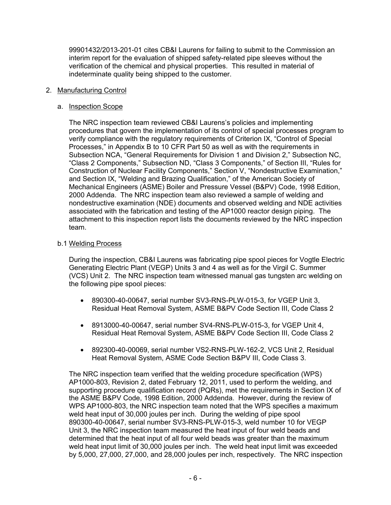99901432/2013-201-01 cites CB&I Laurens for failing to submit to the Commission an interim report for the evaluation of shipped safety-related pipe sleeves without the verification of the chemical and physical properties. This resulted in material of indeterminate quality being shipped to the customer.

## 2. Manufacturing Control

#### a. Inspection Scope

The NRC inspection team reviewed CB&I Laurens's policies and implementing procedures that govern the implementation of its control of special processes program to verify compliance with the regulatory requirements of Criterion IX, "Control of Special Processes," in Appendix B to 10 CFR Part 50 as well as with the requirements in Subsection NCA, "General Requirements for Division 1 and Division 2," Subsection NC, "Class 2 Components," Subsection ND, "Class 3 Components," of Section III, "Rules for Construction of Nuclear Facility Components," Section V, "Nondestructive Examination," and Section IX, "Welding and Brazing Qualification," of the American Society of Mechanical Engineers (ASME) Boiler and Pressure Vessel (B&PV) Code, 1998 Edition, 2000 Addenda. The NRC inspection team also reviewed a sample of welding and nondestructive examination (NDE) documents and observed welding and NDE activities associated with the fabrication and testing of the AP1000 reactor design piping. The attachment to this inspection report lists the documents reviewed by the NRC inspection team.

#### b.1 Welding Process

During the inspection, CB&I Laurens was fabricating pipe spool pieces for Vogtle Electric Generating Electric Plant (VEGP) Units 3 and 4 as well as for the Virgil C. Summer (VCS) Unit 2. The NRC inspection team witnessed manual gas tungsten arc welding on the following pipe spool pieces:

- 890300-40-00647, serial number SV3-RNS-PLW-015-3, for VGEP Unit 3, Residual Heat Removal System, ASME B&PV Code Section III, Code Class 2
- 8913000-40-00647, serial number SV4-RNS-PLW-015-3, for VGEP Unit 4, Residual Heat Removal System, ASME B&PV Code Section III, Code Class 2
- 892300-40-00069, serial number VS2-RNS-PLW-162-2, VCS Unit 2, Residual Heat Removal System, ASME Code Section B&PV III, Code Class 3.

The NRC inspection team verified that the welding procedure specification (WPS) AP1000-803, Revision 2, dated February 12, 2011, used to perform the welding, and supporting procedure qualification record (PQRs), met the requirements in Section IX of the ASME B&PV Code, 1998 Edition, 2000 Addenda. However, during the review of WPS AP1000-803, the NRC inspection team noted that the WPS specifies a maximum weld heat input of 30,000 joules per inch. During the welding of pipe spool 890300-40-00647, serial number SV3-RNS-PLW-015-3, weld number 10 for VEGP Unit 3, the NRC inspection team measured the heat input of four weld beads and determined that the heat input of all four weld beads was greater than the maximum weld heat input limit of 30,000 joules per inch. The weld heat input limit was exceeded by 5,000, 27,000, 27,000, and 28,000 joules per inch, respectively. The NRC inspection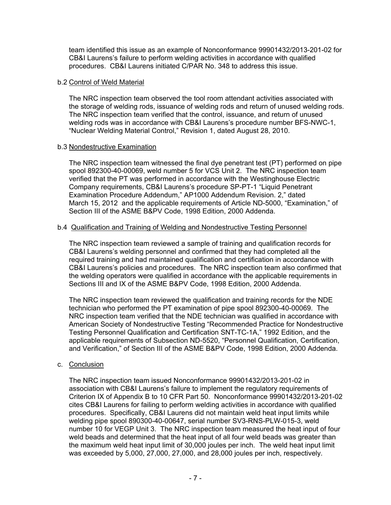team identified this issue as an example of Nonconformance 99901432/2013-201-02 for CB&I Laurens's failure to perform welding activities in accordance with qualified procedures. CB&I Laurens initiated C/PAR No. 348 to address this issue.

#### b.2 Control of Weld Material

The NRC inspection team observed the tool room attendant activities associated with the storage of welding rods, issuance of welding rods and return of unused welding rods. The NRC inspection team verified that the control, issuance, and return of unused welding rods was in accordance with CB&I Laurens's procedure number BFS-NWC-1, "Nuclear Welding Material Control," Revision 1, dated August 28, 2010.

#### b.3 Nondestructive Examination

The NRC inspection team witnessed the final dye penetrant test (PT) performed on pipe spool 892300-40-00069, weld number 5 for VCS Unit 2. The NRC inspection team verified that the PT was performed in accordance with the Westinghouse Electric Company requirements, CB&I Laurens's procedure SP-PT-1 "Liquid Penetrant Examination Procedure Addendum," AP1000 Addendum Revision. 2," dated March 15, 2012 and the applicable requirements of Article ND-5000, "Examination," of Section III of the ASME B&PV Code, 1998 Edition, 2000 Addenda.

#### b.4 Qualification and Training of Welding and Nondestructive Testing Personnel

The NRC inspection team reviewed a sample of training and qualification records for CB&I Laurens's welding personnel and confirmed that they had completed all the required training and had maintained qualification and certification in accordance with CB&I Laurens's policies and procedures. The NRC inspection team also confirmed that the welding operators were qualified in accordance with the applicable requirements in Sections III and IX of the ASME B&PV Code, 1998 Edition, 2000 Addenda.

The NRC inspection team reviewed the qualification and training records for the NDE technician who performed the PT examination of pipe spool 892300-40-00069. The NRC inspection team verified that the NDE technician was qualified in accordance with American Society of Nondestructive Testing "Recommended Practice for Nondestructive Testing Personnel Qualification and Certification SNT-TC-1A," 1992 Edition, and the applicable requirements of Subsection ND-5520, "Personnel Qualification, Certification, and Verification," of Section III of the ASME B&PV Code, 1998 Edition, 2000 Addenda.

## c. Conclusion

The NRC inspection team issued Nonconformance 99901432/2013-201-02 in association with CB&I Laurens's failure to implement the regulatory requirements of Criterion IX of Appendix B to 10 CFR Part 50. Nonconformance 99901432/2013-201-02 cites CB&I Laurens for failing to perform welding activities in accordance with qualified procedures. Specifically, CB&I Laurens did not maintain weld heat input limits while welding pipe spool 890300-40-00647, serial number SV3-RNS-PLW-015-3, weld number 10 for VEGP Unit 3. The NRC inspection team measured the heat input of four weld beads and determined that the heat input of all four weld beads was greater than the maximum weld heat input limit of 30,000 joules per inch. The weld heat input limit was exceeded by 5,000, 27,000, 27,000, and 28,000 joules per inch, respectively.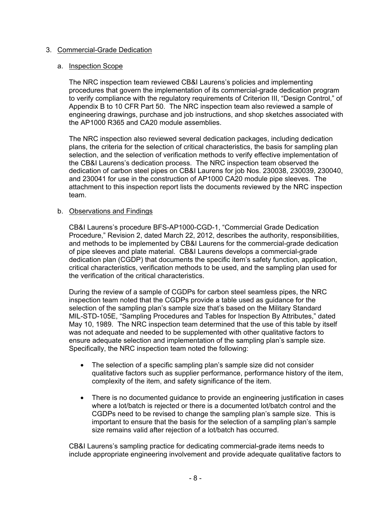## 3. Commercial-Grade Dedication

#### a. Inspection Scope

The NRC inspection team reviewed CB&I Laurens's policies and implementing procedures that govern the implementation of its commercial-grade dedication program to verify compliance with the regulatory requirements of Criterion III, "Design Control," of Appendix B to 10 CFR Part 50. The NRC inspection team also reviewed a sample of engineering drawings, purchase and job instructions, and shop sketches associated with the AP1000 R365 and CA20 module assemblies.

The NRC inspection also reviewed several dedication packages, including dedication plans, the criteria for the selection of critical characteristics, the basis for sampling plan selection, and the selection of verification methods to verify effective implementation of the CB&I Laurens's dedication process. The NRC inspection team observed the dedication of carbon steel pipes on CB&I Laurens for job Nos. 230038, 230039, 230040, and 230041 for use in the construction of AP1000 CA20 module pipe sleeves. The attachment to this inspection report lists the documents reviewed by the NRC inspection team.

#### b. Observations and Findings

CB&I Laurens's procedure BFS-AP1000-CGD-1, "Commercial Grade Dedication Procedure," Revision 2, dated March 22, 2012, describes the authority, responsibilities, and methods to be implemented by CB&I Laurens for the commercial-grade dedication of pipe sleeves and plate material. CB&I Laurens develops a commercial-grade dedication plan (CGDP) that documents the specific item's safety function, application, critical characteristics, verification methods to be used, and the sampling plan used for the verification of the critical characteristics.

During the review of a sample of CGDPs for carbon steel seamless pipes, the NRC inspection team noted that the CGDPs provide a table used as guidance for the selection of the sampling plan's sample size that's based on the Military Standard MIL-STD-105E, "Sampling Procedures and Tables for Inspection By Attributes," dated May 10, 1989. The NRC inspection team determined that the use of this table by itself was not adequate and needed to be supplemented with other qualitative factors to ensure adequate selection and implementation of the sampling plan's sample size. Specifically, the NRC inspection team noted the following:

- The selection of a specific sampling plan's sample size did not consider qualitative factors such as supplier performance, performance history of the item, complexity of the item, and safety significance of the item.
- There is no documented guidance to provide an engineering justification in cases where a lot/batch is rejected or there is a documented lot/batch control and the CGDPs need to be revised to change the sampling plan's sample size. This is important to ensure that the basis for the selection of a sampling plan's sample size remains valid after rejection of a lot/batch has occurred.

CB&I Laurens's sampling practice for dedicating commercial-grade items needs to include appropriate engineering involvement and provide adequate qualitative factors to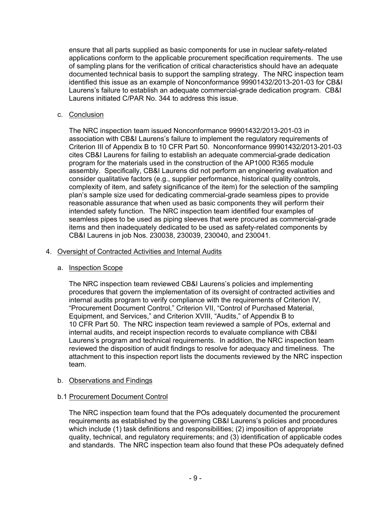ensure that all parts supplied as basic components for use in nuclear safety-related applications conform to the applicable procurement specification requirements. The use of sampling plans for the verification of critical characteristics should have an adequate documented technical basis to support the sampling strategy. The NRC inspection team identified this issue as an example of Nonconformance 99901432/2013-201-03 for CB&I Laurens's failure to establish an adequate commercial-grade dedication program. CB&I Laurens initiated C/PAR No. 344 to address this issue.

## c. Conclusion

The NRC inspection team issued Nonconformance 99901432/2013-201-03 in association with CB&I Laurens's failure to implement the regulatory requirements of Criterion III of Appendix B to 10 CFR Part 50. Nonconformance 99901432/2013-201-03 cites CB&I Laurens for failing to establish an adequate commercial-grade dedication program for the materials used in the construction of the AP1000 R365 module assembly. Specifically, CB&I Laurens did not perform an engineering evaluation and consider qualitative factors (e.g., supplier performance, historical quality controls, complexity of item, and safety significance of the item) for the selection of the sampling plan's sample size used for dedicating commercial-grade seamless pipes to provide reasonable assurance that when used as basic components they will perform their intended safety function. The NRC inspection team identified four examples of seamless pipes to be used as piping sleeves that were procured as commercial-grade items and then inadequately dedicated to be used as safety-related components by CB&I Laurens in job Nos. 230038, 230039, 230040, and 230041.

## 4. Oversight of Contracted Activities and Internal Audits

## a. Inspection Scope

The NRC inspection team reviewed CB&I Laurens's policies and implementing procedures that govern the implementation of its oversight of contracted activities and internal audits program to verify compliance with the requirements of Criterion IV, "Procurement Document Control," Criterion VII, "Control of Purchased Material, Equipment, and Services," and Criterion XVIII, "Audits," of Appendix B to 10 CFR Part 50. The NRC inspection team reviewed a sample of POs, external and internal audits, and receipt inspection records to evaluate compliance with CB&I Laurens's program and technical requirements. In addition, the NRC inspection team reviewed the disposition of audit findings to resolve for adequacy and timeliness. The attachment to this inspection report lists the documents reviewed by the NRC inspection team.

# b. Observations and Findings

# b.1 Procurement Document Control

The NRC inspection team found that the POs adequately documented the procurement requirements as established by the governing CB&I Laurens's policies and procedures which include (1) task definitions and responsibilities; (2) imposition of appropriate quality, technical, and regulatory requirements; and (3) identification of applicable codes and standards. The NRC inspection team also found that these POs adequately defined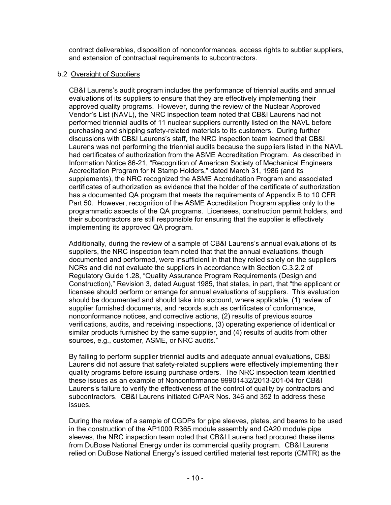contract deliverables, disposition of nonconformances, access rights to subtier suppliers, and extension of contractual requirements to subcontractors.

## b.2 Oversight of Suppliers

CB&I Laurens's audit program includes the performance of triennial audits and annual evaluations of its suppliers to ensure that they are effectively implementing their approved quality programs. However, during the review of the Nuclear Approved Vendor's List (NAVL), the NRC inspection team noted that CB&I Laurens had not performed triennial audits of 11 nuclear suppliers currently listed on the NAVL before purchasing and shipping safety-related materials to its customers. During further discussions with CB&I Laurens's staff, the NRC inspection team learned that CB&I Laurens was not performing the triennial audits because the suppliers listed in the NAVL had certificates of authorization from the ASME Accreditation Program. As described in Information Notice 86-21, "Recognition of American Society of Mechanical Engineers Accreditation Program for N Stamp Holders," dated March 31, 1986 (and its supplements), the NRC recognized the ASME Accreditation Program and associated certificates of authorization as evidence that the holder of the certificate of authorization has a documented QA program that meets the requirements of Appendix B to 10 CFR Part 50. However, recognition of the ASME Accreditation Program applies only to the programmatic aspects of the QA programs. Licensees, construction permit holders, and their subcontractors are still responsible for ensuring that the supplier is effectively implementing its approved QA program.

Additionally, during the review of a sample of CB&I Laurens's annual evaluations of its suppliers, the NRC inspection team noted that that the annual evaluations, though documented and performed, were insufficient in that they relied solely on the suppliers NCRs and did not evaluate the suppliers in accordance with Section C.3.2.2 of Regulatory Guide 1.28, "Quality Assurance Program Requirements (Design and Construction)," Revision 3, dated August 1985, that states, in part, that "the applicant or licensee should perform or arrange for annual evaluations of suppliers. This evaluation should be documented and should take into account, where applicable, (1) review of supplier furnished documents, and records such as certificates of conformance, nonconformance notices, and corrective actions, (2) results of previous source verifications, audits, and receiving inspections, (3) operating experience of identical or similar products furnished by the same supplier, and (4) results of audits from other sources, e.g., customer, ASME, or NRC audits."

By failing to perform supplier triennial audits and adequate annual evaluations, CB&I Laurens did not assure that safety-related suppliers were effectively implementing their quality programs before issuing purchase orders. The NRC inspection team identified these issues as an example of Nonconformance 99901432/2013-201-04 for CB&I Laurens's failure to verify the effectiveness of the control of quality by contractors and subcontractors. CB&I Laurens initiated C/PAR Nos. 346 and 352 to address these issues.

During the review of a sample of CGDPs for pipe sleeves, plates, and beams to be used in the construction of the AP1000 R365 module assembly and CA20 module pipe sleeves, the NRC inspection team noted that CB&I Laurens had procured these items from DuBose National Energy under its commercial quality program. CB&I Laurens relied on DuBose National Energy's issued certified material test reports (CMTR) as the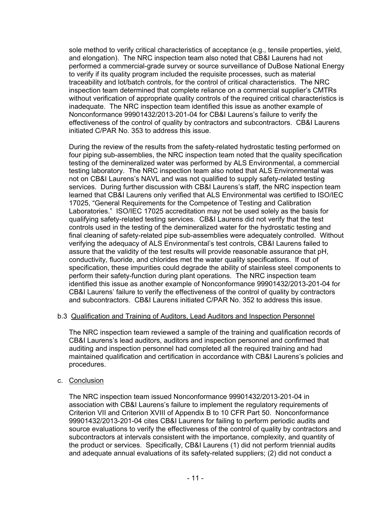sole method to verify critical characteristics of acceptance (e.g., tensile properties, yield, and elongation). The NRC inspection team also noted that CB&I Laurens had not performed a commercial-grade survey or source surveillance of DuBose National Energy to verify if its quality program included the requisite processes, such as material traceability and lot/batch controls, for the control of critical characteristics. The NRC inspection team determined that complete reliance on a commercial supplier's CMTRs without verification of appropriate quality controls of the required critical characteristics is inadequate. The NRC inspection team identified this issue as another example of Nonconformance 99901432/2013-201-04 for CB&I Laurens's failure to verify the effectiveness of the control of quality by contractors and subcontractors. CB&I Laurens initiated C/PAR No. 353 to address this issue.

During the review of the results from the safety-related hydrostatic testing performed on four piping sub-assemblies, the NRC inspection team noted that the quality specification testing of the demineralized water was performed by ALS Environmental, a commercial testing laboratory. The NRC inspection team also noted that ALS Environmental was not on CB&I Laurens's NAVL and was not qualified to supply safety-related testing services. During further discussion with CB&I Laurens's staff, the NRC inspection team learned that CB&I Laurens only verified that ALS Environmental was certified to ISO/IEC 17025, "General Requirements for the Competence of Testing and Calibration Laboratories." ISO/IEC 17025 accreditation may not be used solely as the basis for qualifying safety-related testing services. CB&I Laurens did not verify that the test controls used in the testing of the demineralized water for the hydrostatic testing and final cleaning of safety-related pipe sub-assemblies were adequately controlled. Without verifying the adequacy of ALS Environmental's test controls, CB&I Laurens failed to assure that the validity of the test results will provide reasonable assurance that pH, conductivity, fluoride, and chlorides met the water quality specifications. If out of specification, these impurities could degrade the ability of stainless steel components to perform their safety-function during plant operations. The NRC inspection team identified this issue as another example of Nonconformance 99901432/2013-201-04 for CB&I Laurens' failure to verify the effectiveness of the control of quality by contractors and subcontractors. CB&I Laurens initiated C/PAR No. 352 to address this issue.

## b.3 Qualification and Training of Auditors, Lead Auditors and Inspection Personnel

The NRC inspection team reviewed a sample of the training and qualification records of CB&I Laurens's lead auditors, auditors and inspection personnel and confirmed that auditing and inspection personnel had completed all the required training and had maintained qualification and certification in accordance with CB&I Laurens's policies and procedures.

## c. Conclusion

The NRC inspection team issued Nonconformance 99901432/2013-201-04 in association with CB&I Laurens's failure to implement the regulatory requirements of Criterion VII and Criterion XVIII of Appendix B to 10 CFR Part 50. Nonconformance 99901432/2013-201-04 cites CB&I Laurens for failing to perform periodic audits and source evaluations to verify the effectiveness of the control of quality by contractors and subcontractors at intervals consistent with the importance, complexity, and quantity of the product or services. Specifically, CB&I Laurens (1) did not perform triennial audits and adequate annual evaluations of its safety-related suppliers; (2) did not conduct a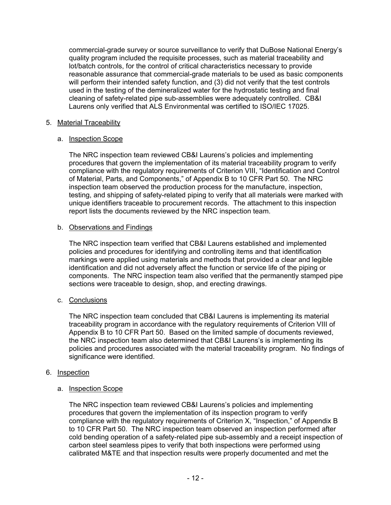commercial-grade survey or source surveillance to verify that DuBose National Energy's quality program included the requisite processes, such as material traceability and lot/batch controls, for the control of critical characteristics necessary to provide reasonable assurance that commercial-grade materials to be used as basic components will perform their intended safety function, and (3) did not verify that the test controls used in the testing of the demineralized water for the hydrostatic testing and final cleaning of safety-related pipe sub-assemblies were adequately controlled. CB&I Laurens only verified that ALS Environmental was certified to ISO/IEC 17025.

# 5. Material Traceability

# a. Inspection Scope

The NRC inspection team reviewed CB&I Laurens's policies and implementing procedures that govern the implementation of its material traceability program to verify compliance with the regulatory requirements of Criterion VIII, "Identification and Control of Material, Parts, and Components," of Appendix B to 10 CFR Part 50. The NRC inspection team observed the production process for the manufacture, inspection, testing, and shipping of safety-related piping to verify that all materials were marked with unique identifiers traceable to procurement records. The attachment to this inspection report lists the documents reviewed by the NRC inspection team.

# b. Observations and Findings

The NRC inspection team verified that CB&I Laurens established and implemented policies and procedures for identifying and controlling items and that identification markings were applied using materials and methods that provided a clear and legible identification and did not adversely affect the function or service life of the piping or components. The NRC inspection team also verified that the permanently stamped pipe sections were traceable to design, shop, and erecting drawings.

# c. Conclusions

The NRC inspection team concluded that CB&I Laurens is implementing its material traceability program in accordance with the regulatory requirements of Criterion VIII of Appendix B to 10 CFR Part 50. Based on the limited sample of documents reviewed, the NRC inspection team also determined that CB&I Laurens's is implementing its policies and procedures associated with the material traceability program. No findings of significance were identified.

# 6. Inspection

## a. **Inspection Scope**

The NRC inspection team reviewed CB&I Laurens's policies and implementing procedures that govern the implementation of its inspection program to verify compliance with the regulatory requirements of Criterion X, "Inspection," of Appendix B to 10 CFR Part 50. The NRC inspection team observed an inspection performed after cold bending operation of a safety-related pipe sub-assembly and a receipt inspection of carbon steel seamless pipes to verify that both inspections were performed using calibrated M&TE and that inspection results were properly documented and met the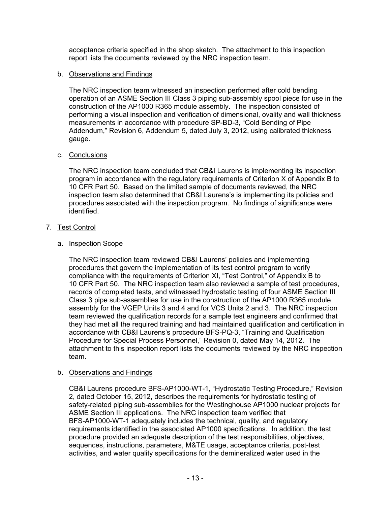acceptance criteria specified in the shop sketch. The attachment to this inspection report lists the documents reviewed by the NRC inspection team.

## b. Observations and Findings

The NRC inspection team witnessed an inspection performed after cold bending operation of an ASME Section III Class 3 piping sub-assembly spool piece for use in the construction of the AP1000 R365 module assembly. The inspection consisted of performing a visual inspection and verification of dimensional, ovality and wall thickness measurements in accordance with procedure SP-BD-3, "Cold Bending of Pipe Addendum," Revision 6, Addendum 5, dated July 3, 2012, using calibrated thickness gauge.

## c. Conclusions

The NRC inspection team concluded that CB&I Laurens is implementing its inspection program in accordance with the regulatory requirements of Criterion X of Appendix B to 10 CFR Part 50. Based on the limited sample of documents reviewed, the NRC inspection team also determined that CB&I Laurens's is implementing its policies and procedures associated with the inspection program. No findings of significance were identified.

## 7. Test Control

#### a. Inspection Scope

The NRC inspection team reviewed CB&I Laurens' policies and implementing procedures that govern the implementation of its test control program to verify compliance with the requirements of Criterion XI, "Test Control," of Appendix B to 10 CFR Part 50. The NRC inspection team also reviewed a sample of test procedures, records of completed tests, and witnessed hydrostatic testing of four ASME Section III Class 3 pipe sub-assemblies for use in the construction of the AP1000 R365 module assembly for the VGEP Units 3 and 4 and for VCS Units 2 and 3. The NRC inspection team reviewed the qualification records for a sample test engineers and confirmed that they had met all the required training and had maintained qualification and certification in accordance with CB&I Laurens's procedure BFS-PQ-3, "Training and Qualification Procedure for Special Process Personnel," Revision 0, dated May 14, 2012. The attachment to this inspection report lists the documents reviewed by the NRC inspection team.

## b. Observations and Findings

CB&I Laurens procedure BFS-AP1000-WT-1, "Hydrostatic Testing Procedure," Revision 2, dated October 15, 2012, describes the requirements for hydrostatic testing of safety-related piping sub-assemblies for the Westinghouse AP1000 nuclear projects for ASME Section III applications. The NRC inspection team verified that BFS-AP1000-WT-1 adequately includes the technical, quality, and regulatory requirements identified in the associated AP1000 specifications. In addition, the test procedure provided an adequate description of the test responsibilities, objectives, sequences, instructions, parameters, M&TE usage, acceptance criteria, post-test activities, and water quality specifications for the demineralized water used in the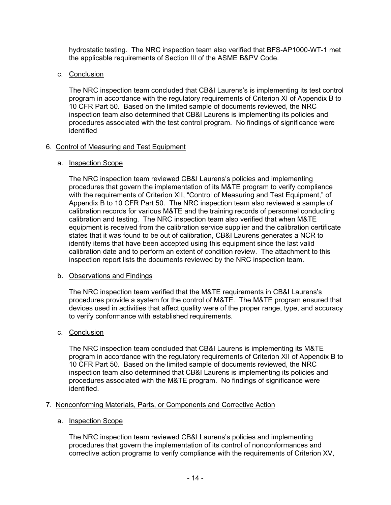hydrostatic testing. The NRC inspection team also verified that BFS-AP1000-WT-1 met the applicable requirements of Section III of the ASME B&PV Code.

## c. Conclusion

The NRC inspection team concluded that CB&I Laurens's is implementing its test control program in accordance with the regulatory requirements of Criterion XI of Appendix B to 10 CFR Part 50. Based on the limited sample of documents reviewed, the NRC inspection team also determined that CB&I Laurens is implementing its policies and procedures associated with the test control program. No findings of significance were identified

# 6. Control of Measuring and Test Equipment

# a. Inspection Scope

The NRC inspection team reviewed CB&I Laurens's policies and implementing procedures that govern the implementation of its M&TE program to verify compliance with the requirements of Criterion XII, "Control of Measuring and Test Equipment," of Appendix B to 10 CFR Part 50. The NRC inspection team also reviewed a sample of calibration records for various M&TE and the training records of personnel conducting calibration and testing. The NRC inspection team also verified that when M&TE equipment is received from the calibration service supplier and the calibration certificate states that it was found to be out of calibration, CB&I Laurens generates a NCR to identify items that have been accepted using this equipment since the last valid calibration date and to perform an extent of condition review. The attachment to this inspection report lists the documents reviewed by the NRC inspection team.

## b. Observations and Findings

The NRC inspection team verified that the M&TE requirements in CB&I Laurens's procedures provide a system for the control of M&TE. The M&TE program ensured that devices used in activities that affect quality were of the proper range, type, and accuracy to verify conformance with established requirements.

## c. Conclusion

The NRC inspection team concluded that CB&I Laurens is implementing its M&TE program in accordance with the regulatory requirements of Criterion XII of Appendix B to 10 CFR Part 50. Based on the limited sample of documents reviewed, the NRC inspection team also determined that CB&I Laurens is implementing its policies and procedures associated with the M&TE program. No findings of significance were identified.

# 7. Nonconforming Materials, Parts, or Components and Corrective Action

# a. Inspection Scope

The NRC inspection team reviewed CB&I Laurens's policies and implementing procedures that govern the implementation of its control of nonconformances and corrective action programs to verify compliance with the requirements of Criterion XV,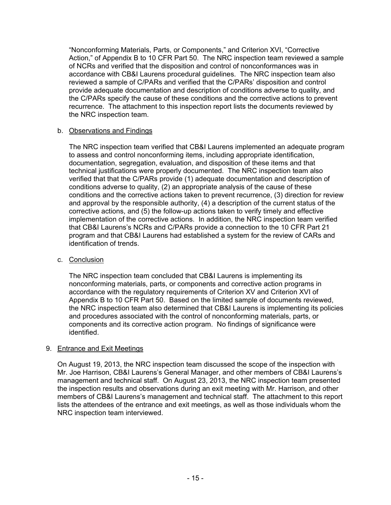"Nonconforming Materials, Parts, or Components," and Criterion XVI, "Corrective Action," of Appendix B to 10 CFR Part 50. The NRC inspection team reviewed a sample of NCRs and verified that the disposition and control of nonconformances was in accordance with CB&I Laurens procedural guidelines. The NRC inspection team also reviewed a sample of C/PARs and verified that the C/PARs' disposition and control provide adequate documentation and description of conditions adverse to quality, and the C/PARs specify the cause of these conditions and the corrective actions to prevent recurrence. The attachment to this inspection report lists the documents reviewed by the NRC inspection team.

# b. Observations and Findings

The NRC inspection team verified that CB&I Laurens implemented an adequate program to assess and control nonconforming items, including appropriate identification, documentation, segregation, evaluation, and disposition of these items and that technical justifications were properly documented. The NRC inspection team also verified that that the C/PARs provide (1) adequate documentation and description of conditions adverse to quality, (2) an appropriate analysis of the cause of these conditions and the corrective actions taken to prevent recurrence, (3) direction for review and approval by the responsible authority, (4) a description of the current status of the corrective actions, and (5) the follow-up actions taken to verify timely and effective implementation of the corrective actions. In addition, the NRC inspection team verified that CB&I Laurens's NCRs and C/PARs provide a connection to the 10 CFR Part 21 program and that CB&I Laurens had established a system for the review of CARs and identification of trends.

## c. Conclusion

The NRC inspection team concluded that CB&I Laurens is implementing its nonconforming materials, parts, or components and corrective action programs in accordance with the regulatory requirements of Criterion XV and Criterion XVI of Appendix B to 10 CFR Part 50. Based on the limited sample of documents reviewed, the NRC inspection team also determined that CB&I Laurens is implementing its policies and procedures associated with the control of nonconforming materials, parts, or components and its corrective action program. No findings of significance were identified.

## 9. Entrance and Exit Meetings

On August 19, 2013, the NRC inspection team discussed the scope of the inspection with Mr. Joe Harrison, CB&I Laurens's General Manager, and other members of CB&I Laurens's management and technical staff. On August 23, 2013, the NRC inspection team presented the inspection results and observations during an exit meeting with Mr. Harrison, and other members of CB&I Laurens's management and technical staff. The attachment to this report lists the attendees of the entrance and exit meetings, as well as those individuals whom the NRC inspection team interviewed.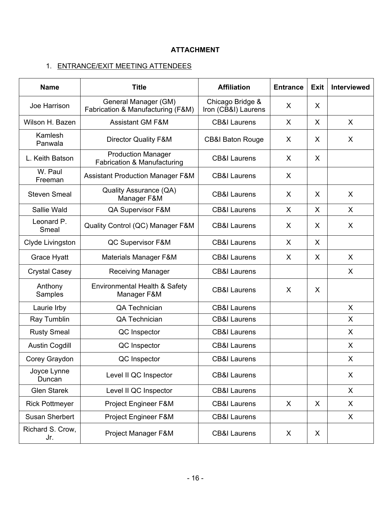# **ATTACHMENT**

# 1. ENTRANCE/EXIT MEETING ATTENDEES

| <b>Name</b>                            | <b>Title</b>                                              | <b>Affiliation</b>                      | <b>Entrance</b> | <b>Exit</b>  | Interviewed |
|----------------------------------------|-----------------------------------------------------------|-----------------------------------------|-----------------|--------------|-------------|
| Joe Harrison                           | General Manager (GM)<br>Fabrication & Manufacturing (F&M) | Chicago Bridge &<br>Iron (CB&I) Laurens | X               | X            |             |
| Wilson H. Bazen                        | <b>Assistant GM F&amp;M</b>                               | <b>CB&amp;I Laurens</b>                 | X               | X            | X           |
| Kamlesh<br>Panwala                     | <b>Director Quality F&amp;M</b>                           | <b>CB&amp;I Baton Rouge</b>             | X               | X            | X           |
| L. Keith Batson                        | <b>Production Manager</b><br>Fabrication & Manufacturing  | <b>CB&amp;I Laurens</b>                 | X               | X            |             |
| W. Paul<br>Freeman                     | <b>Assistant Production Manager F&amp;M</b>               | <b>CB&amp;I Laurens</b>                 | X               |              |             |
| <b>Steven Smeal</b>                    | Quality Assurance (QA)<br>Manager F&M                     | <b>CB&amp;I Laurens</b>                 | X               | X            | X           |
| Sallie Wald                            | QA Supervisor F&M                                         | <b>CB&amp;I Laurens</b>                 | $\sf X$         | $\mathsf{X}$ | $\sf X$     |
| Leonard P.<br>Smeal                    | Quality Control (QC) Manager F&M                          | <b>CB&amp;I Laurens</b>                 | X               | X            | X           |
| Clyde Livingston                       | QC Supervisor F&M                                         | <b>CB&amp;I Laurens</b>                 | X               | X            |             |
| Grace Hyatt                            | <b>Materials Manager F&amp;M</b>                          | <b>CB&amp;I Laurens</b>                 | X               | X            | X           |
| <b>Crystal Casey</b>                   | <b>Receiving Manager</b>                                  | <b>CB&amp;I Laurens</b>                 |                 |              | X           |
| Anthony<br>Samples                     | Environmental Health & Safety<br>Manager F&M              | <b>CB&amp;I Laurens</b>                 | X               | X            |             |
| Laurie Irby                            | QA Technician                                             | <b>CB&amp;I Laurens</b>                 |                 |              | X           |
| Ray Tumblin                            | QA Technician                                             | <b>CB&amp;I Laurens</b>                 |                 |              | X           |
| <b>Rusty Smeal</b>                     | QC Inspector                                              | <b>CB&amp;I Laurens</b>                 |                 |              | X           |
| <b>Austin Cogdill</b>                  | QC Inspector                                              | <b>CB&amp;I Laurens</b>                 |                 |              | X           |
| Corey Graydon                          | QC Inspector                                              | <b>CB&amp;I Laurens</b>                 |                 |              | X           |
| Joyce Lynne<br>Duncan                  | Level II QC Inspector                                     | <b>CB&amp;I Laurens</b>                 |                 |              | X           |
| <b>Glen Starek</b>                     | Level II QC Inspector                                     | <b>CB&amp;I Laurens</b>                 |                 |              | X           |
| <b>Rick Pottmeyer</b>                  | Project Engineer F&M                                      |                                         | X               | X            | X           |
| Susan Sherbert<br>Project Engineer F&M |                                                           | <b>CB&amp;I Laurens</b>                 |                 |              | X           |
| Richard S. Crow,<br>Jr.                | Project Manager F&M                                       | <b>CB&amp;I Laurens</b>                 | X               | X            |             |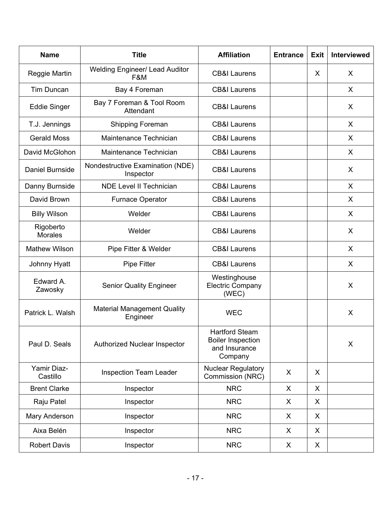| <b>Name</b>                 | <b>Title</b>                                   | <b>Affiliation</b>                                                            | <b>Entrance</b> | <b>Exit</b> | Interviewed |
|-----------------------------|------------------------------------------------|-------------------------------------------------------------------------------|-----------------|-------------|-------------|
| Reggie Martin               | <b>Welding Engineer/ Lead Auditor</b><br>F&M   | <b>CB&amp;I Laurens</b>                                                       |                 | X           | X           |
| Tim Duncan                  | Bay 4 Foreman                                  | <b>CB&amp;I Laurens</b>                                                       |                 |             | X           |
| <b>Eddie Singer</b>         | Bay 7 Foreman & Tool Room<br>Attendant         | <b>CB&amp;I Laurens</b>                                                       |                 |             | X           |
| T.J. Jennings               | Shipping Foreman                               | <b>CB&amp;I Laurens</b>                                                       |                 |             | X           |
| <b>Gerald Moss</b>          | Maintenance Technician                         | <b>CB&amp;I Laurens</b>                                                       |                 |             | X           |
| David McGlohon              | Maintenance Technician                         | <b>CB&amp;I Laurens</b>                                                       |                 |             | X           |
| <b>Daniel Burnside</b>      | Nondestructive Examination (NDE)<br>Inspector  | <b>CB&amp;I Laurens</b>                                                       |                 |             | X           |
| Danny Burnside              | <b>NDE Level II Technician</b>                 | <b>CB&amp;I Laurens</b>                                                       |                 |             | X           |
| David Brown                 | Furnace Operator                               | <b>CB&amp;I Laurens</b>                                                       |                 |             | X           |
| <b>Billy Wilson</b>         | Welder                                         | <b>CB&amp;I Laurens</b>                                                       |                 |             | X           |
| Rigoberto<br><b>Morales</b> | Welder                                         | <b>CB&amp;I Laurens</b>                                                       |                 |             | X           |
| <b>Mathew Wilson</b>        | Pipe Fitter & Welder                           | <b>CB&amp;I Laurens</b>                                                       |                 |             | X           |
| Johnny Hyatt                | <b>Pipe Fitter</b>                             | <b>CB&amp;I Laurens</b>                                                       |                 |             | X           |
| Edward A.<br>Zawosky        | <b>Senior Quality Engineer</b>                 | Westinghouse<br><b>Electric Company</b><br>(WEC)                              |                 |             | X           |
| Patrick L. Walsh            | <b>Material Management Quality</b><br>Engineer | <b>WEC</b>                                                                    |                 |             | X           |
| Paul D. Seals               | <b>Authorized Nuclear Inspector</b>            | <b>Hartford Steam</b><br><b>Boiler Inspection</b><br>and Insurance<br>Company |                 |             | X           |
| Yamir Diaz-<br>Castillo     | <b>Inspection Team Leader</b>                  | <b>Nuclear Regulatory</b><br>Commission (NRC)                                 | X               | X           |             |
| <b>Brent Clarke</b>         | Inspector                                      | <b>NRC</b>                                                                    | X               | X           |             |
| Raju Patel                  | Inspector                                      | <b>NRC</b>                                                                    | $\chi$          | X           |             |
| Mary Anderson               | Inspector                                      | <b>NRC</b>                                                                    | X               | X           |             |
| Aixa Belén                  | Inspector                                      | <b>NRC</b>                                                                    | X               | X           |             |
| <b>Robert Davis</b>         | Inspector                                      | <b>NRC</b>                                                                    | X               | X           |             |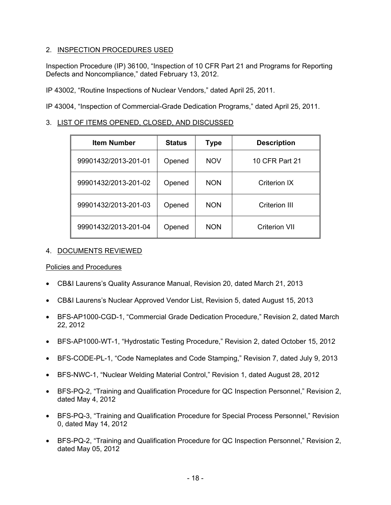# 2. INSPECTION PROCEDURES USED

Inspection Procedure (IP) 36100, "Inspection of 10 CFR Part 21 and Programs for Reporting Defects and Noncompliance," dated February 13, 2012.

IP 43002, "Routine Inspections of Nuclear Vendors," dated April 25, 2011.

IP 43004, "Inspection of Commercial-Grade Dedication Programs," dated April 25, 2011.

# 3. LIST OF ITEMS OPENED, CLOSED, AND DISCUSSED

| <b>Item Number</b>   | <b>Status</b> | <b>Type</b> | <b>Description</b> |
|----------------------|---------------|-------------|--------------------|
| 99901432/2013-201-01 | Opened        | <b>NOV</b>  | 10 CFR Part 21     |
| 99901432/2013-201-02 | Opened        | <b>NON</b>  | Criterion IX       |
| 99901432/2013-201-03 | Opened        | <b>NON</b>  | Criterion III      |
| 99901432/2013-201-04 | Opened        | <b>NON</b>  | Criterion VII      |

## 4. DOCUMENTS REVIEWED

Policies and Procedures

- CB&I Laurens's Quality Assurance Manual, Revision 20, dated March 21, 2013
- CB&I Laurens's Nuclear Approved Vendor List, Revision 5, dated August 15, 2013
- BFS-AP1000-CGD-1, "Commercial Grade Dedication Procedure," Revision 2, dated March 22, 2012
- BFS-AP1000-WT-1, "Hydrostatic Testing Procedure," Revision 2, dated October 15, 2012
- BFS-CODE-PL-1, "Code Nameplates and Code Stamping," Revision 7, dated July 9, 2013
- BFS-NWC-1, "Nuclear Welding Material Control," Revision 1, dated August 28, 2012
- BFS-PQ-2, "Training and Qualification Procedure for QC Inspection Personnel," Revision 2, dated May 4, 2012
- BFS-PQ-3, "Training and Qualification Procedure for Special Process Personnel," Revision 0, dated May 14, 2012
- BFS-PQ-2, "Training and Qualification Procedure for QC Inspection Personnel," Revision 2, dated May 05, 2012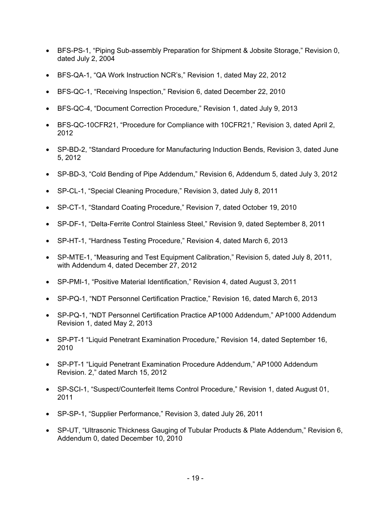- BFS-PS-1, "Piping Sub-assembly Preparation for Shipment & Jobsite Storage," Revision 0, dated July 2, 2004
- BFS-QA-1, "QA Work Instruction NCR's," Revision 1, dated May 22, 2012
- BFS-QC-1, "Receiving Inspection," Revision 6, dated December 22, 2010
- BFS-QC-4, "Document Correction Procedure," Revision 1, dated July 9, 2013
- BFS-QC-10CFR21, "Procedure for Compliance with 10CFR21," Revision 3, dated April 2, 2012
- SP-BD-2, "Standard Procedure for Manufacturing Induction Bends, Revision 3, dated June 5, 2012
- SP-BD-3, "Cold Bending of Pipe Addendum," Revision 6, Addendum 5, dated July 3, 2012
- SP-CL-1, "Special Cleaning Procedure," Revision 3, dated July 8, 2011
- SP-CT-1, "Standard Coating Procedure," Revision 7, dated October 19, 2010
- SP-DF-1, "Delta-Ferrite Control Stainless Steel," Revision 9, dated September 8, 2011
- SP-HT-1, "Hardness Testing Procedure," Revision 4, dated March 6, 2013
- SP-MTE-1, "Measuring and Test Equipment Calibration," Revision 5, dated July 8, 2011, with Addendum 4, dated December 27, 2012
- SP-PMI-1, "Positive Material Identification," Revision 4, dated August 3, 2011
- SP-PQ-1, "NDT Personnel Certification Practice," Revision 16, dated March 6, 2013
- SP-PQ-1, "NDT Personnel Certification Practice AP1000 Addendum," AP1000 Addendum Revision 1, dated May 2, 2013
- SP-PT-1 "Liquid Penetrant Examination Procedure," Revision 14, dated September 16, 2010
- SP-PT-1 "Liquid Penetrant Examination Procedure Addendum," AP1000 Addendum Revision. 2," dated March 15, 2012
- SP-SCI-1, "Suspect/Counterfeit Items Control Procedure," Revision 1, dated August 01, 2011
- SP-SP-1, "Supplier Performance," Revision 3, dated July 26, 2011
- SP-UT, "Ultrasonic Thickness Gauging of Tubular Products & Plate Addendum," Revision 6, Addendum 0, dated December 10, 2010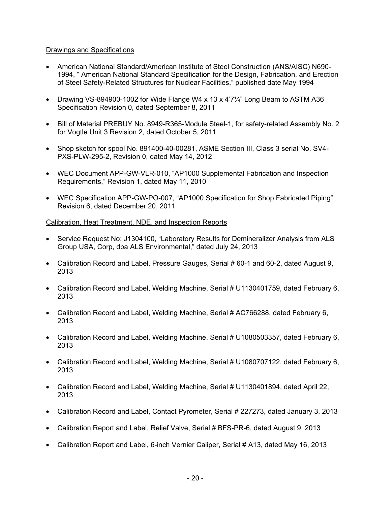## Drawings and Specifications

- American National Standard/American Institute of Steel Construction (ANS/AISC) N690- 1994, " American National Standard Specification for the Design, Fabrication, and Erection of Steel Safety-Related Structures for Nuclear Facilities," published date May 1994
- Drawing VS-894900-1002 for Wide Flange W4 x 13 x 4'7¼" Long Beam to ASTM A36 Specification Revision 0, dated September 8, 2011
- Bill of Material PREBUY No. 8949-R365-Module Steel-1, for safety-related Assembly No. 2 for Vogtle Unit 3 Revision 2, dated October 5, 2011
- Shop sketch for spool No. 891400-40-00281, ASME Section III, Class 3 serial No. SV4-PXS-PLW-295-2, Revision 0, dated May 14, 2012
- WEC Document APP-GW-VLR-010, "AP1000 Supplemental Fabrication and Inspection Requirements," Revision 1, dated May 11, 2010
- WEC Specification APP-GW-PO-007, "AP1000 Specification for Shop Fabricated Piping" Revision 6, dated December 20, 2011

#### Calibration, Heat Treatment, NDE, and Inspection Reports

- Service Request No: J1304100, "Laboratory Results for Demineralizer Analysis from ALS Group USA, Corp, dba ALS Environmental," dated July 24, 2013
- Calibration Record and Label, Pressure Gauges, Serial # 60-1 and 60-2, dated August 9, 2013
- Calibration Record and Label, Welding Machine, Serial # U1130401759, dated February 6, 2013
- Calibration Record and Label, Welding Machine, Serial # AC766288, dated February 6, 2013
- Calibration Record and Label, Welding Machine, Serial # U1080503357, dated February 6, 2013
- Calibration Record and Label, Welding Machine, Serial # U1080707122, dated February 6, 2013
- Calibration Record and Label, Welding Machine, Serial # U1130401894, dated April 22, 2013
- Calibration Record and Label, Contact Pyrometer, Serial # 227273, dated January 3, 2013
- Calibration Report and Label, Relief Valve, Serial # BFS-PR-6, dated August 9, 2013
- Calibration Report and Label, 6-inch Vernier Caliper, Serial # A13, dated May 16, 2013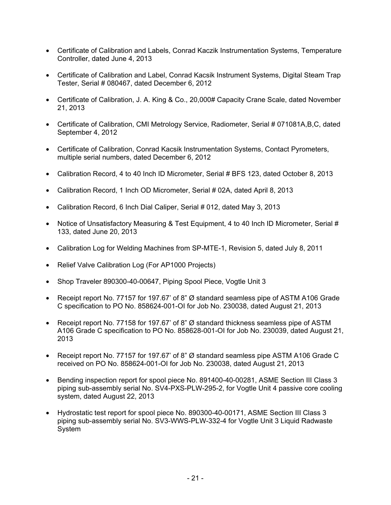- Certificate of Calibration and Labels, Conrad Kaczik Instrumentation Systems, Temperature Controller, dated June 4, 2013
- Certificate of Calibration and Label, Conrad Kacsik Instrument Systems, Digital Steam Trap Tester, Serial # 080467, dated December 6, 2012
- Certificate of Calibration, J. A. King & Co., 20,000# Capacity Crane Scale, dated November 21, 2013
- Certificate of Calibration, CMI Metrology Service, Radiometer, Serial # 071081A, B, C, dated September 4, 2012
- Certificate of Calibration, Conrad Kacsik Instrumentation Systems, Contact Pyrometers, multiple serial numbers, dated December 6, 2012
- Calibration Record, 4 to 40 Inch ID Micrometer, Serial # BFS 123, dated October 8, 2013
- Calibration Record, 1 Inch OD Micrometer, Serial # 02A, dated April 8, 2013
- Calibration Record, 6 Inch Dial Caliper, Serial # 012, dated May 3, 2013
- Notice of Unsatisfactory Measuring & Test Equipment, 4 to 40 Inch ID Micrometer, Serial # 133, dated June 20, 2013
- Calibration Log for Welding Machines from SP-MTE-1, Revision 5, dated July 8, 2011
- Relief Valve Calibration Log (For AP1000 Projects)
- Shop Traveler 890300-40-00647, Piping Spool Piece, Vogtle Unit 3
- Receipt report No. 77157 for 197.67' of 8" Ø standard seamless pipe of ASTM A106 Grade C specification to PO No. 858624-001-OI for Job No. 230038, dated August 21, 2013
- Receipt report No. 77158 for 197.67' of 8" Ø standard thickness seamless pipe of ASTM A106 Grade C specification to PO No. 858628-001-OI for Job No. 230039, dated August 21, 2013
- Receipt report No. 77157 for 197.67' of 8" Ø standard seamless pipe ASTM A106 Grade C received on PO No. 858624-001-OI for Job No. 230038, dated August 21, 2013
- Bending inspection report for spool piece No. 891400-40-00281, ASME Section III Class 3 piping sub-assembly serial No. SV4-PXS-PLW-295-2, for Vogtle Unit 4 passive core cooling system, dated August 22, 2013
- Hydrostatic test report for spool piece No. 890300-40-00171, ASME Section III Class 3 piping sub-assembly serial No. SV3-WWS-PLW-332-4 for Vogtle Unit 3 Liquid Radwaste System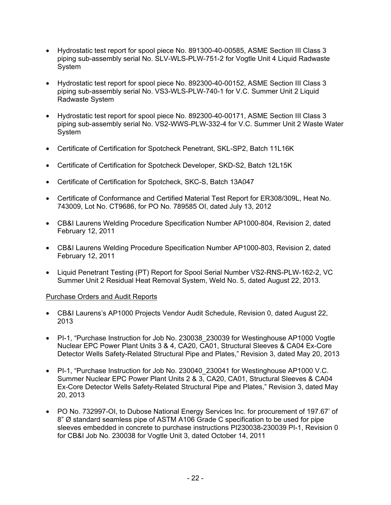- Hydrostatic test report for spool piece No. 891300-40-00585, ASME Section III Class 3 piping sub-assembly serial No. SLV-WLS-PLW-751-2 for Vogtle Unit 4 Liquid Radwaste System
- Hydrostatic test report for spool piece No. 892300-40-00152, ASME Section III Class 3 piping sub-assembly serial No. VS3-WLS-PLW-740-1 for V.C. Summer Unit 2 Liquid Radwaste System
- Hydrostatic test report for spool piece No. 892300-40-00171, ASME Section III Class 3 piping sub-assembly serial No. VS2-WWS-PLW-332-4 for V.C. Summer Unit 2 Waste Water System
- Certificate of Certification for Spotcheck Penetrant, SKL-SP2, Batch 11L16K
- Certificate of Certification for Spotcheck Developer, SKD-S2, Batch 12L15K
- Certificate of Certification for Spotcheck, SKC-S, Batch 13A047
- Certificate of Conformance and Certified Material Test Report for ER308/309L, Heat No. 743009, Lot No. CT9686, for PO No. 789585 OI, dated July 13, 2012
- CB&I Laurens Welding Procedure Specification Number AP1000-804, Revision 2, dated February 12, 2011
- CB&I Laurens Welding Procedure Specification Number AP1000-803, Revision 2, dated February 12, 2011
- Liquid Penetrant Testing (PT) Report for Spool Serial Number VS2-RNS-PLW-162-2, VC Summer Unit 2 Residual Heat Removal System, Weld No. 5, dated August 22, 2013.

## Purchase Orders and Audit Reports

- CB&I Laurens's AP1000 Projects Vendor Audit Schedule, Revision 0, dated August 22, 2013
- PI-1, "Purchase Instruction for Job No. 230038 230039 for Westinghouse AP1000 Vogtle Nuclear EPC Power Plant Units 3 & 4, CA20, CA01, Structural Sleeves & CA04 Ex-Core Detector Wells Safety-Related Structural Pipe and Plates," Revision 3, dated May 20, 2013
- PI-1, "Purchase Instruction for Job No. 230040\_230041 for Westinghouse AP1000 V.C. Summer Nuclear EPC Power Plant Units 2 & 3, CA20, CA01, Structural Sleeves & CA04 Ex-Core Detector Wells Safety-Related Structural Pipe and Plates," Revision 3, dated May 20, 2013
- PO No. 732997-OI, to Dubose National Energy Services Inc. for procurement of 197.67' of 8" Ø standard seamless pipe of ASTM A106 Grade C specification to be used for pipe sleeves embedded in concrete to purchase instructions PI230038-230039 PI-1, Revision 0 for CB&I Job No. 230038 for Vogtle Unit 3, dated October 14, 2011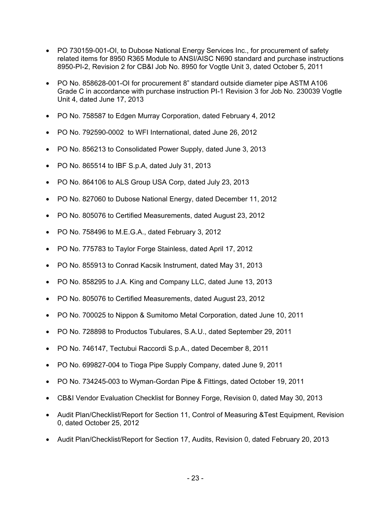- PO 730159-001-OI, to Dubose National Energy Services Inc., for procurement of safety related items for 8950 R365 Module to ANSI/AISC N690 standard and purchase instructions 8950-PI-2, Revision 2 for CB&I Job No. 8950 for Vogtle Unit 3, dated October 5, 2011
- PO No. 858628-001-OI for procurement 8" standard outside diameter pipe ASTM A106 Grade C in accordance with purchase instruction PI-1 Revision 3 for Job No. 230039 Vogtle Unit 4, dated June 17, 2013
- PO No. 758587 to Edgen Murray Corporation, dated February 4, 2012
- PO No. 792590-0002 to WFI International, dated June 26, 2012
- PO No. 856213 to Consolidated Power Supply, dated June 3, 2013
- PO No. 865514 to IBF S.p.A, dated July 31, 2013
- PO No. 864106 to ALS Group USA Corp, dated July 23, 2013
- PO No. 827060 to Dubose National Energy, dated December 11, 2012
- PO No. 805076 to Certified Measurements, dated August 23, 2012
- PO No. 758496 to M.E.G.A., dated February 3, 2012
- PO No. 775783 to Taylor Forge Stainless, dated April 17, 2012
- PO No. 855913 to Conrad Kacsik Instrument, dated May 31, 2013
- PO No. 858295 to J.A. King and Company LLC, dated June 13, 2013
- PO No. 805076 to Certified Measurements, dated August 23, 2012
- PO No. 700025 to Nippon & Sumitomo Metal Corporation, dated June 10, 2011
- PO No. 728898 to Productos Tubulares, S.A.U., dated September 29, 2011
- PO No. 746147, Tectubui Raccordi S.p.A., dated December 8, 2011
- PO No. 699827-004 to Tioga Pipe Supply Company, dated June 9, 2011
- PO No. 734245-003 to Wyman-Gordan Pipe & Fittings, dated October 19, 2011
- CB&I Vendor Evaluation Checklist for Bonney Forge, Revision 0, dated May 30, 2013
- Audit Plan/Checklist/Report for Section 11, Control of Measuring &Test Equipment, Revision 0, dated October 25, 2012
- Audit Plan/Checklist/Report for Section 17, Audits, Revision 0, dated February 20, 2013